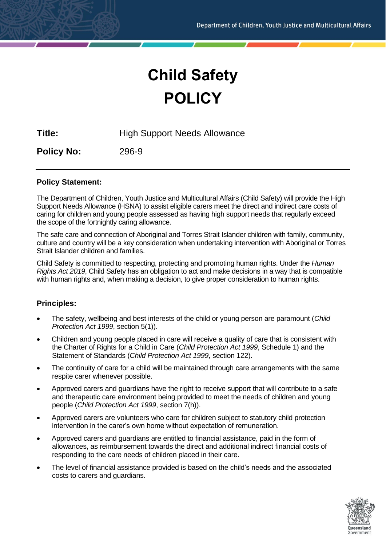# **Child Safety POLICY**

**Title:** High Support Needs Allowance

**Policy No:** 296-9

## **Policy Statement:**

The Department of Children, Youth Justice and Multicultural Affairs (Child Safety) will provide the High Support Needs Allowance (HSNA) to assist eligible carers meet the direct and indirect care costs of caring for children and young people assessed as having high support needs that regularly exceed the scope of the fortnightly caring allowance.

The safe care and connection of Aboriginal and Torres Strait Islander children with family, community, culture and country will be a key consideration when undertaking intervention with Aboriginal or Torres Strait Islander children and families.

Child Safety is committed to respecting, protecting and promoting human rights. Under the *Human Rights Act 2019*, Child Safety has an obligation to act and make decisions in a way that is compatible with human rights and, when making a decision, to give proper consideration to human rights.

## **Principles:**

- The safety, wellbeing and best interests of the child or young person are paramount (*Child Protection Act 1999*, section 5(1)).
- Children and young people placed in care will receive a quality of care that is consistent with the Charter of Rights for a Child in Care (*Child Protection Act 1999*, Schedule 1) and the Statement of Standards (*Child Protection Act 1999*, section 122).
- The continuity of care for a child will be maintained through care arrangements with the same respite carer whenever possible.
- Approved carers and guardians have the right to receive support that will contribute to a safe and therapeutic care environment being provided to meet the needs of children and young people (*Child Protection Act 1999*, section 7(h)).
- Approved carers are volunteers who care for children subject to statutory child protection intervention in the carer's own home without expectation of remuneration.
- Approved carers and guardians are entitled to financial assistance, paid in the form of allowances, as reimbursement towards the direct and additional indirect financial costs of responding to the care needs of children placed in their care.
- The level of financial assistance provided is based on the child's needs and the associated costs to carers and guardians.

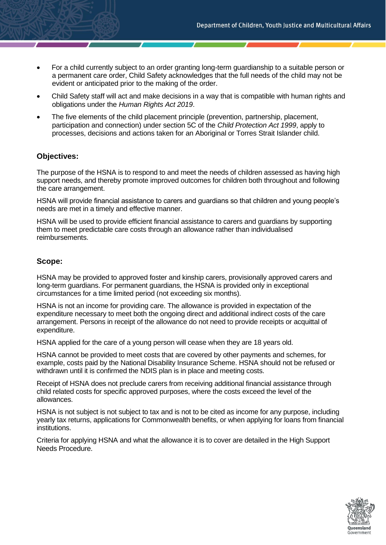- For a child currently subject to an order granting long-term guardianship to a suitable person or a permanent care order, Child Safety acknowledges that the full needs of the child may not be evident or anticipated prior to the making of the order.
- Child Safety staff will act and make decisions in a way that is compatible with human rights and obligations under the *Human Rights Act 2019*.
- The five elements of the child placement principle (prevention, partnership, placement, participation and connection) under section 5C of the *Child Protection Act 1999*, apply to processes, decisions and actions taken for an Aboriginal or Torres Strait Islander child.

## **Objectives:**

The purpose of the HSNA is to respond to and meet the needs of children assessed as having high support needs, and thereby promote improved outcomes for children both throughout and following the care arrangement.

HSNA will provide financial assistance to carers and guardians so that children and young people's needs are met in a timely and effective manner.

HSNA will be used to provide efficient financial assistance to carers and guardians by supporting them to meet predictable care costs through an allowance rather than individualised reimbursements.

## **Scope:**

HSNA may be provided to approved foster and kinship carers, provisionally approved carers and long-term guardians. For permanent guardians, the HSNA is provided only in exceptional circumstances for a time limited period (not exceeding six months).

HSNA is not an income for providing care. The allowance is provided in expectation of the expenditure necessary to meet both the ongoing direct and additional indirect costs of the care arrangement. Persons in receipt of the allowance do not need to provide receipts or acquittal of expenditure.

HSNA applied for the care of a young person will cease when they are 18 years old.

HSNA cannot be provided to meet costs that are covered by other payments and schemes, for example, costs paid by the National Disability Insurance Scheme. HSNA should not be refused or withdrawn until it is confirmed the NDIS plan is in place and meeting costs.

Receipt of HSNA does not preclude carers from receiving additional financial assistance through child related costs for specific approved purposes, where the costs exceed the level of the allowances.

HSNA is not subject is not subject to tax and is not to be cited as income for any purpose, including yearly tax returns, applications for Commonwealth benefits, or when applying for loans from financial institutions.

Criteria for applying HSNA and what the allowance it is to cover are detailed in the High Support Needs Procedure.

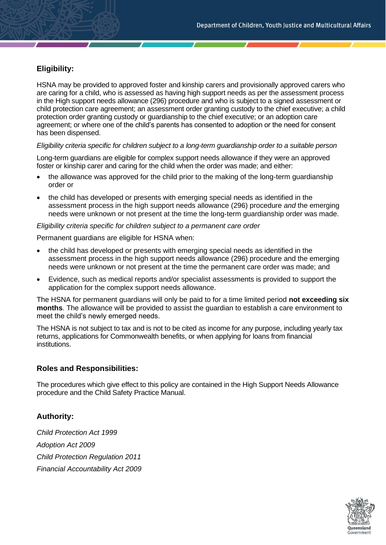# **Eligibility:**

HSNA may be provided to approved foster and kinship carers and provisionally approved carers who are caring for a child, who is assessed as having high support needs as per the assessment process in the High support needs allowance (296) procedure and who is subject to a signed assessment or child protection care agreement; an assessment order granting custody to the chief executive; a child protection order granting custody or guardianship to the chief executive; or an adoption care agreement; or where one of the child's parents has consented to adoption or the need for consent has been dispensed.

#### *Eligibility criteria specific for children subject to a long-term guardianship order to a suitable person*

Long-term guardians are eligible for complex support needs allowance if they were an approved foster or kinship carer and caring for the child when the order was made; and either:

- the allowance was approved for the child prior to the making of the long-term guardianship order or
- the child has developed or presents with emerging special needs as identified in the assessment process in the high support needs allowance (296) procedure *and* the emerging needs were unknown or not present at the time the long-term guardianship order was made.

#### *Eligibility criteria specific for children subject to a permanent care order*

Permanent guardians are eligible for HSNA when:

- the child has developed or presents with emerging special needs as identified in the assessment process in the high support needs allowance (296) procedure and the emerging needs were unknown or not present at the time the permanent care order was made; and
- Evidence, such as medical reports and/or specialist assessments is provided to support the application for the complex support needs allowance.

The HSNA for permanent guardians will only be paid to for a time limited period **not exceeding six months**. The allowance will be provided to assist the guardian to establish a care environment to meet the child's newly emerged needs.

The HSNA is not subject to tax and is not to be cited as income for any purpose, including yearly tax returns, applications for Commonwealth benefits, or when applying for loans from financial institutions.

#### **Roles and Responsibilities:**

The procedures which give effect to this policy are contained in the High Support Needs Allowance procedure and the Child Safety Practice Manual.

## **Authority:**

*Child Protection Act 1999 Adoption Act 2009 Child Protection Regulation 2011 Financial Accountability Act 2009*

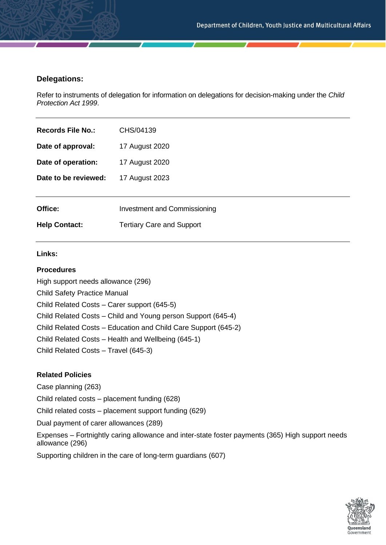## **Delegations:**

Refer to instruments of delegation for information on delegations for decision-making under the *Child Protection Act 1999*.

| Records File No.:    | CHS/04139                           |
|----------------------|-------------------------------------|
| Date of approval:    | 17 August 2020                      |
| Date of operation:   | 17 August 2020                      |
| Date to be reviewed: | 17 August 2023                      |
|                      |                                     |
| Office:              | <b>Investment and Commissioning</b> |
| <b>Help Contact:</b> | <b>Tertiary Care and Support</b>    |
|                      |                                     |

#### **Links:**

#### **Procedures**

High support needs allowance (296) Child Safety Practice Manual Child Related Costs – Carer support (645-5) Child Related Costs – Child and Young person Support (645-4) Child Related Costs – Education and Child Care Support (645-2) Child Related Costs – Health and Wellbeing (645-1) Child Related Costs – Travel (645-3)

#### **Related Policies**

Case planning (263) Child related costs – placement funding (628) Child related costs – placement support funding (629) Dual payment of carer allowances (289) Expenses – Fortnightly caring allowance and inter-state foster payments (365) High support needs allowance (296) Supporting children in the care of long-term guardians (607)